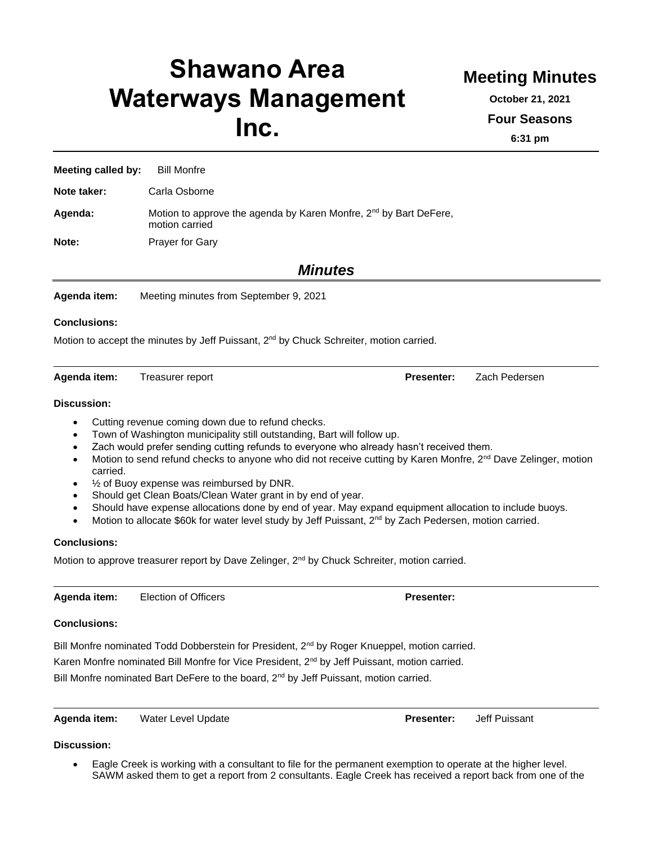# **Shawano Area Waterways Management Inc.**

**Meeting Minutes**

**October 21, 2021**

**Four Seasons**

**6:31 pm**

**Meeting called by:** Bill Monfre

**Note taker:** Carla Osborne

Agenda: Motion to approve the agenda by Karen Monfre, 2<sup>nd</sup> by Bart DeFere, motion carried

**Note:** Prayer for Gary

*Minutes*

**Agenda item:** Meeting minutes from September 9, 2021

#### **Conclusions:**

Motion to accept the minutes by Jeff Puissant,  $2<sup>nd</sup>$  by Chuck Schreiter, motion carried.

**Agenda item:** Treasurer report **Presenter:** Zach Pedersen

#### **Discussion:**

- Cutting revenue coming down due to refund checks.
- Town of Washington municipality still outstanding, Bart will follow up.
- Zach would prefer sending cutting refunds to everyone who already hasn't received them.
- Motion to send refund checks to anyone who did not receive cutting by Karen Monfre, 2<sup>nd</sup> Dave Zelinger, motion carried.
- $\frac{1}{2}$  of Buoy expense was reimbursed by DNR.
- Should get Clean Boats/Clean Water grant in by end of year.
- Should have expense allocations done by end of year. May expand equipment allocation to include buoys.
- Motion to allocate \$60k for water level study by Jeff Puissant, 2<sup>nd</sup> by Zach Pedersen, motion carried.

#### **Conclusions:**

Motion to approve treasurer report by Dave Zelinger,  $2<sup>nd</sup>$  by Chuck Schreiter, motion carried.

**Agenda item:** Election of Officers **Presenter:**

#### **Conclusions:**

Bill Monfre nominated Todd Dobberstein for President, 2<sup>nd</sup> by Roger Knueppel, motion carried. Karen Monfre nominated Bill Monfre for Vice President, 2<sup>nd</sup> by Jeff Puissant, motion carried.

Bill Monfre nominated Bart DeFere to the board, 2<sup>nd</sup> by Jeff Puissant, motion carried.

**Agenda item:** Water Level Update **Presenter:** Jeff Puissant

#### **Discussion:**

• Eagle Creek is working with a consultant to file for the permanent exemption to operate at the higher level. SAWM asked them to get a report from 2 consultants. Eagle Creek has received a report back from one of the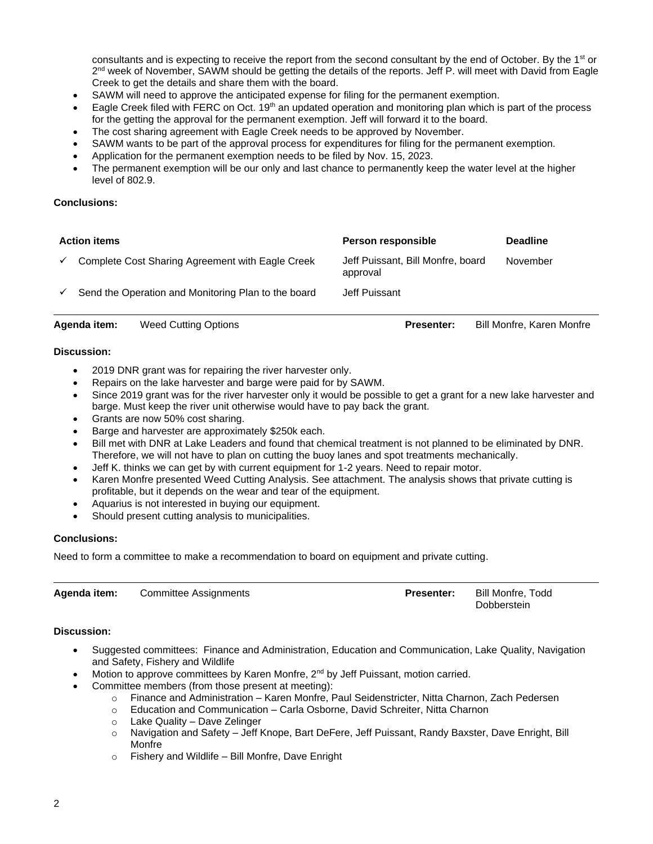consultants and is expecting to receive the report from the second consultant by the end of October. By the 1<sup>st</sup> or 2<sup>nd</sup> week of November, SAWM should be getting the details of the reports. Jeff P. will meet with David from Eagle Creek to get the details and share them with the board.

- SAWM will need to approve the anticipated expense for filing for the permanent exemption.
- Eagle Creek filed with FERC on Oct.  $19<sup>th</sup>$  an updated operation and monitoring plan which is part of the process for the getting the approval for the permanent exemption. Jeff will forward it to the board.
- The cost sharing agreement with Eagle Creek needs to be approved by November.
- SAWM wants to be part of the approval process for expenditures for filing for the permanent exemption.
- Application for the permanent exemption needs to be filed by Nov. 15, 2023.
- The permanent exemption will be our only and last chance to permanently keep the water level at the higher level of 802.9.

#### **Conclusions:**

| <b>Action items</b> |                                                     | Person responsible                            | <b>Deadline</b> |
|---------------------|-----------------------------------------------------|-----------------------------------------------|-----------------|
| $\checkmark$        | Complete Cost Sharing Agreement with Eagle Creek    | Jeff Puissant, Bill Monfre, board<br>approval | November        |
| $\checkmark$        | Send the Operation and Monitoring Plan to the board | Jeff Puissant                                 |                 |

**Agenda item:** Weed Cutting Options **Presenter:** Bill Monfre, Karen Monfre

#### **Discussion:**

- 2019 DNR grant was for repairing the river harvester only.
- Repairs on the lake harvester and barge were paid for by SAWM.
- Since 2019 grant was for the river harvester only it would be possible to get a grant for a new lake harvester and barge. Must keep the river unit otherwise would have to pay back the grant.
- Grants are now 50% cost sharing.
- Barge and harvester are approximately \$250k each.
- Bill met with DNR at Lake Leaders and found that chemical treatment is not planned to be eliminated by DNR. Therefore, we will not have to plan on cutting the buoy lanes and spot treatments mechanically.
- Jeff K. thinks we can get by with current equipment for 1-2 years. Need to repair motor.
- Karen Monfre presented Weed Cutting Analysis. See attachment. The analysis shows that private cutting is profitable, but it depends on the wear and tear of the equipment.
- Aquarius is not interested in buying our equipment.
- Should present cutting analysis to municipalities.

#### **Conclusions:**

Need to form a committee to make a recommendation to board on equipment and private cutting.

| Agenda item: | <b>Committee Assignments</b> | <b>Presenter:</b> | Bill Monfre. Todd |
|--------------|------------------------------|-------------------|-------------------|
|              |                              |                   | Dobberstein       |

#### **Discussion:**

- Suggested committees: Finance and Administration, Education and Communication, Lake Quality, Navigation and Safety, Fishery and Wildlife
- Motion to approve committees by Karen Monfre, 2<sup>nd</sup> by Jeff Puissant, motion carried.
- Committee members (from those present at meeting):
	- o Finance and Administration Karen Monfre, Paul Seidenstricter, Nitta Charnon, Zach Pedersen
		- o Education and Communication Carla Osborne, David Schreiter, Nitta Charnon
		- o Lake Quality Dave Zelinger
		- o Navigation and Safety Jeff Knope, Bart DeFere, Jeff Puissant, Randy Baxster, Dave Enright, Bill Monfre
		- $\circ$  Fishery and Wildlife Bill Monfre, Dave Enright